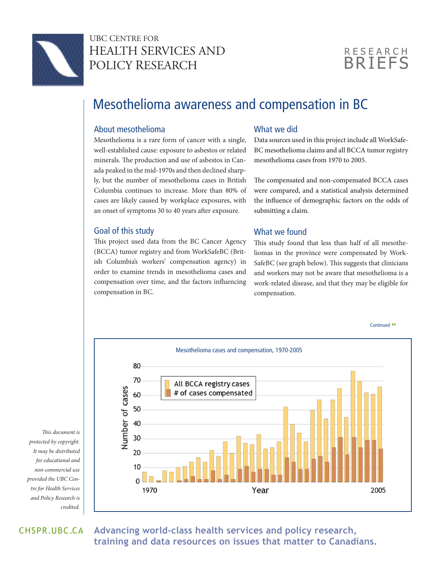

## **BRIEFS RESEARCH**

# Mesothelioma awareness and compensation in BC

#### About mesothelioma

Mesothelioma is a rare form of cancer with a single, well-established cause: exposure to asbestos or related minerals. The production and use of asbestos in Canada peaked in the mid-1970s and then declined sharply, but the number of mesothelioma cases in British Columbia continues to increase. More than 80% of cases are likely caused by workplace exposures, with an onset of symptoms 30 to 40 years after exposure.

#### Goal of this study

This project used data from the BC Cancer Agency (BCCA) tumor registry and from WorkSafeBC (British Columbia's workers' compensation agency) in order to examine trends in mesothelioma cases and compensation over time, and the factors influencing compensation in BC.

### What we did

Data sources used in this project include all WorkSafe-BC mesothelioma claims and all BCCA tumor registry mesothelioma cases from 1970 to 2005.

The compensated and non-compensated BCCA cases were compared, and a statistical analysis determined the influence of demographic factors on the odds of submitting a claim.

#### What we found

This study found that less than half of all mesotheliomas in the province were compensated by Work-SafeBC (see graph below). This suggests that clinicians and workers may not be aware that mesothelioma is a work-related disease, and that they may be eligible for compensation.

Continued **»**

Mesothelioma cases and compensation, 1970-200580 70 All BCCA registry cases Number of cases # of cases compensated 60 50 40 30 20 10  $\Omega$ 1970 Year 2005

*This document is protected by copyright. It may be distributed for educational and non-commercial use provided the UBC Centre for Health Services and Policy Research is credited.* 

CHSPR*.*UBC.CA **Advancing world-class health services and policy research, training and data resources on issues that matter to Canadians.**